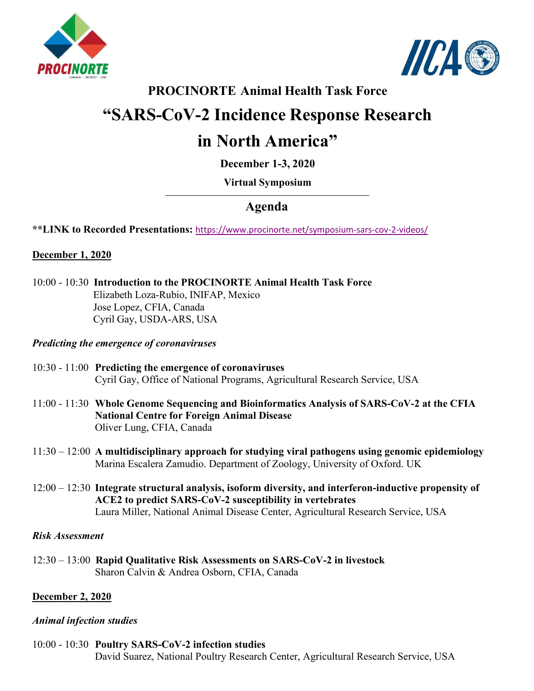



## **PROCINORTE Animal Health Task Force**

# **"SARS-CoV-2 Incidence Response Research**

# **in North America"**

**December 1-3, 2020**

## **[Virtual Symposium](https://www.gob.mx/inifap)**

# **Agenda**

**\*\*LINK to Recorded Presentations:** [https://www.procinorte.net/symposium-sars-cov-2-videos/](https://gcc02.safelinks.protection.outlook.com/?url=https%3A%2F%2Fwww.procinorte.net%2Fsymposium-sars-cov-2-videos%2F&data=04%7C01%7C%7C0904b4e783b9405fe74408d8d80e28de%7Ced5b36e701ee4ebc867ee03cfa0d4697%7C0%7C0%7C637496902839169042%7CUnknown%7CTWFpbGZsb3d8eyJWIjoiMC4wLjAwMDAiLCJQIjoiV2luMzIiLCJBTiI6Ik1haWwiLCJXVCI6Mn0%3D%7C1000&sdata=YjAnQhOYZrA%2F5v8mYMF7e2LPXJn1jlmJGv9tdQ%2FAXnY%3D&reserved=0)

### **December 1, 2020**

10:00 - 10:30 **Introduction to the PROCINORTE Animal Health Task Force** Elizabeth Loza-Rubio, INIFAP, Mexico Jose Lopez, CFIA, Canada Cyril Gay, USDA-ARS, USA

#### *Predicting the emergence of coronaviruses*

- 10:30 11:00 **Predicting the emergence of coronaviruses** Cyril Gay, Office of National Programs, Agricultural Research Service, USA
- 11:00 11:30 **Whole Genome Sequencing and Bioinformatics Analysis of SARS-CoV-2 at the CFIA National Centre for Foreign Animal Disease** Oliver Lung, CFIA, Canada
- 11:30 12:00 **A multidisciplinary approach for studying viral pathogens using genomic epidemiology** Marina Escalera Zamudio. Department of Zoology, University of Oxford. UK
- 12:00 12:30 **Integrate structural analysis, isoform diversity, and interferon-inductive propensity of ACE2 to predict SARS-CoV-2 susceptibility in vertebrates** Laura Miller, National Animal Disease Center, Agricultural Research Service, USA

#### *Risk Assessment*

12:30 – 13:00 **Rapid Qualitative Risk Assessments on SARS-CoV-2 in livestock** Sharon Calvin & Andrea Osborn, CFIA, Canada

### **December 2, 2020**

#### *Animal infection studies*

10:00 - 10:30 **Poultry SARS-CoV-2 infection studies**

David Suarez, National Poultry Research Center, Agricultural Research Service, USA